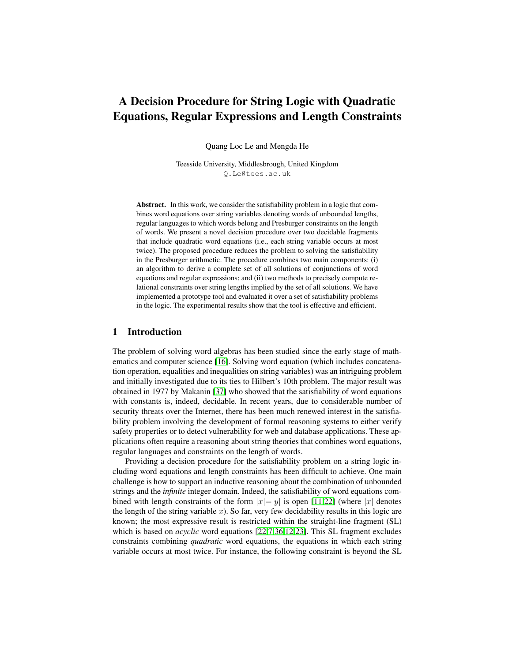# A Decision Procedure for String Logic with Quadratic Equations, Regular Expressions and Length Constraints

Quang Loc Le and Mengda He

Teesside University, Middlesbrough, United Kingdom Q.Le@tees.ac.uk

Abstract. In this work, we consider the satisfiability problem in a logic that combines word equations over string variables denoting words of unbounded lengths, regular languages to which words belong and Presburger constraints on the length of words. We present a novel decision procedure over two decidable fragments that include quadratic word equations (i.e., each string variable occurs at most twice). The proposed procedure reduces the problem to solving the satisfiability in the Presburger arithmetic. The procedure combines two main components: (i) an algorithm to derive a complete set of all solutions of conjunctions of word equations and regular expressions; and (ii) two methods to precisely compute relational constraints over string lengths implied by the set of all solutions. We have implemented a prototype tool and evaluated it over a set of satisfiability problems in the logic. The experimental results show that the tool is effective and efficient.

# <span id="page-0-0"></span>1 Introduction

The problem of solving word algebras has been studied since the early stage of mathematics and computer science [\[16\]](#page-18-0). Solving word equation (which includes concatenation operation, equalities and inequalities on string variables) was an intriguing problem and initially investigated due to its ties to Hilbert's 10th problem. The major result was obtained in 1977 by Makanin [\[37\]](#page-19-0) who showed that the satisfiability of word equations with constants is, indeed, decidable. In recent years, due to considerable number of security threats over the Internet, there has been much renewed interest in the satisfiability problem involving the development of formal reasoning systems to either verify safety properties or to detect vulnerability for web and database applications. These applications often require a reasoning about string theories that combines word equations, regular languages and constraints on the length of words.

Providing a decision procedure for the satisfiability problem on a string logic including word equations and length constraints has been difficult to achieve. One main challenge is how to support an inductive reasoning about the combination of unbounded strings and the *infinite* integer domain. Indeed, the satisfiability of word equations combined with length constraints of the form  $|x|=|y|$  is open [\[11](#page-18-1)[,22\]](#page-18-2) (where  $|x|$  denotes the length of the string variable  $x$ ). So far, very few decidability results in this logic are known; the most expressive result is restricted within the straight-line fragment (SL) which is based on *acyclic* word equations [\[22](#page-18-2)[,7](#page-17-0)[,36](#page-19-1)[,12](#page-18-3)[,23\]](#page-18-4). This SL fragment excludes constraints combining *quadratic* word equations, the equations in which each string variable occurs at most twice. For instance, the following constraint is beyond the SL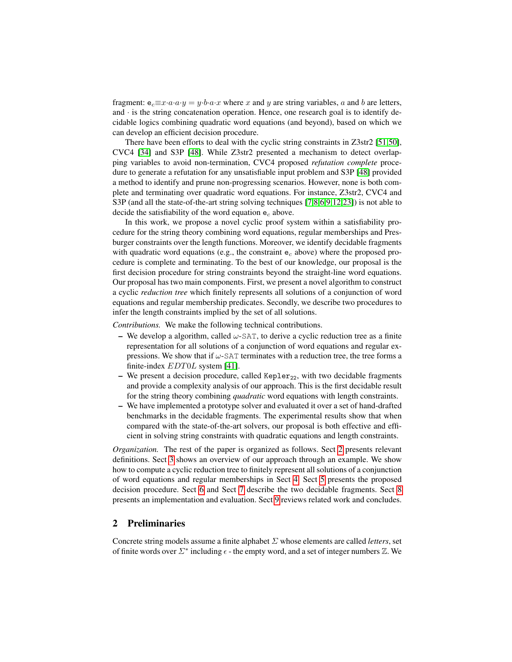fragment:  $e_c \equiv x \cdot a \cdot a \cdot y = y \cdot b \cdot a \cdot x$  where x and y are string variables, a and b are letters, and  $\cdot$  is the string concatenation operation. Hence, one research goal is to identify decidable logics combining quadratic word equations (and beyond), based on which we can develop an efficient decision procedure.

There have been efforts to deal with the cyclic string constraints in Z3str2 [\[51](#page-19-2)[,50\]](#page-19-3), CVC4 [\[34\]](#page-18-5) and S3P [\[48\]](#page-19-4). While Z3str2 presented a mechanism to detect overlapping variables to avoid non-termination, CVC4 proposed *refutation complete* procedure to generate a refutation for any unsatisfiable input problem and S3P [\[48\]](#page-19-4) provided a method to identify and prune non-progressing scenarios. However, none is both complete and terminating over quadratic word equations. For instance, Z3str2, CVC4 and S3P (and all the state-of-the-art string solving techniques [\[7](#page-17-0)[,8](#page-17-1)[,6](#page-17-2)[,9,](#page-17-3)[12,](#page-18-3)[23\]](#page-18-4)) is not able to decide the satisfiability of the word equation  $e_c$  above.

In this work, we propose a novel cyclic proof system within a satisfiability procedure for the string theory combining word equations, regular memberships and Presburger constraints over the length functions. Moreover, we identify decidable fragments with quadratic word equations (e.g., the constraint  $e_c$  above) where the proposed procedure is complete and terminating. To the best of our knowledge, our proposal is the first decision procedure for string constraints beyond the straight-line word equations. Our proposal has two main components. First, we present a novel algorithm to construct a cyclic *reduction tree* which finitely represents all solutions of a conjunction of word equations and regular membership predicates. Secondly, we describe two procedures to infer the length constraints implied by the set of all solutions.

*Contributions.* We make the following technical contributions.

- We develop a algorithm, called  $\omega$ -SAT, to derive a cyclic reduction tree as a finite representation for all solutions of a conjunction of word equations and regular expressions. We show that if  $\omega$ -SAT terminates with a reduction tree, the tree forms a finite-index *EDT0L* system [\[41\]](#page-19-5).
- We present a decision procedure, called Kepler<sub>22</sub>, with two decidable fragments and provide a complexity analysis of our approach. This is the first decidable result for the string theory combining *quadratic* word equations with length constraints.
- We have implemented a prototype solver and evaluated it over a set of hand-drafted benchmarks in the decidable fragments. The experimental results show that when compared with the state-of-the-art solvers, our proposal is both effective and efficient in solving string constraints with quadratic equations and length constraints.

*Organization*. The rest of the paper is organized as follows. Sect [2](#page-1-0) presents relevant definitions. Sect [3](#page-4-0) shows an overview of our approach through an example. We show how to compute a cyclic reduction tree to finitely represent all solutions of a conjunction of word equations and regular memberships in Sect [4.](#page-5-0) Sect [5](#page-9-0) presents the proposed decision procedure. Sect [6](#page-10-0) and Sect [7](#page-12-0) describe the two decidable fragments. Sect [8](#page-14-0) presents an implementation and evaluation. Sect [9](#page-16-0) reviews related work and concludes.

# <span id="page-1-0"></span>2 Preliminaries

Concrete string models assume a finite alphabet Σ whose elements are called *letters*, set of finite words over  $\Sigma^*$  including  $\epsilon$  - the empty word, and a set of integer numbers  $\mathbb Z$ . We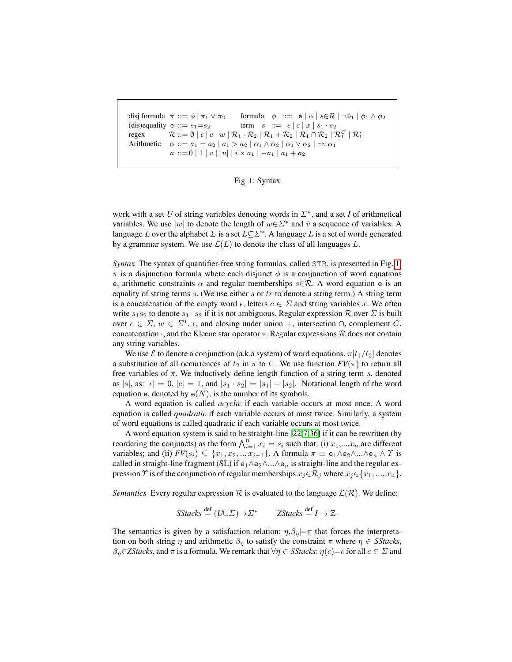```
disj formula \pi ::= \phi \mid \pi_1 \vee \pi_2 formula \phi ::= e \mid \alpha \mid s \in \mathcal{R} \mid \neg \phi_1 \mid \phi_1 \wedge \phi_2(dis)equality e ::= s_1 = s_2 term s ::= \epsilon | c | x | s_1 \cdot s_2regex \mathcal{R} ::= \emptyset \mid \epsilon \mid c \mid w \mid \mathcal{R}_1 \cdot \mathcal{R}_2 \mid \mathcal{R}_1 + \mathcal{R}_2 \mid \mathcal{R}_1 \cap \mathcal{R}_2 \mid \mathcal{R}_1^C \mid \mathcal{R}_1^*Arithmetic \alpha ::= a_1 = a_2 \mid a_1 > a_2 \mid \alpha_1 \wedge \alpha_2 \mid \alpha_1 \vee \alpha_2 \mid \exists v.\alpha_1a ::= 0 | 1 | v | |u | | i \times a_1 | -a_1 | a_1 + a_2
```
Fig. 1: Syntax

work with a set *U* of string variables denoting words in  $\Sigma^*$ , and a set *I* of arithmetical variables. We use |w| to denote the length of  $w \in \Sigma^*$  and  $\bar{v}$  a sequence of variables. A language L over the alphabet  $\Sigma$  is a set  $L \subseteq \Sigma^*$ . A language L is a set of words generated by a grammar system. We use  $\mathcal{L}(L)$  to denote the class of all languages L.

*Syntax* The syntax of quantifier-free string formulas, called STR, is presented in Fig. [1.](#page-2-0)  $\pi$  is a disjunction formula where each disjunct  $\phi$  is a conjunction of word equations e, arithmetic constraints  $\alpha$  and regular memberships  $s \in \mathcal{R}$ . A word equation e is an equality of string terms  $s$ . (We use either  $s$  or  $tr$  to denote a string term.) A string term is a concatenation of the empty word  $\epsilon$ , letters  $c \in \Sigma$  and string variables x. We often write  $s_1s_2$  to denote  $s_1 \cdot s_2$  if it is not ambiguous. Regular expression  $\mathcal R$  over  $\mathcal D$  is built over  $c \in \Sigma$ ,  $w \in \Sigma^*$ ,  $\epsilon$ , and closing under union +, intersection  $\cap$ , complement C, concatenation  $\cdot$ , and the Kleene star operator  $\ast$ . Regular expressions  $\mathcal R$  does not contain any string variables.

We use  $\mathcal E$  to denote a conjunction (a.k.a system) of word equations.  $\pi[t_1/t_2]$  denotes a substitution of all occurrences of  $t_2$  in  $\pi$  to  $t_1$ . We use function  $FV(\pi)$  to return all free variables of  $\pi$ . We inductively define length function of a string term s, denoted as |s|, as:  $|\epsilon| = 0$ ,  $|c| = 1$ , and  $|s_1 \cdot s_2| = |s_1| + |s_2|$ . Notational length of the word equation e, denoted by  $e(N)$ , is the number of its symbols.

A word equation is called *acyclic* if each variable occurs at most once. A word equation is called *quadratic* if each variable occurs at most twice. Similarly, a system of word equations is called quadratic if each variable occurs at most twice.

A word equation system is said to be straight-line [\[22](#page-18-2)[,7](#page-17-0)[,36\]](#page-19-1) if it can be rewritten (by reordering the conjuncts) as the form  $\bigwedge_{i=1}^{n} x_i = s_i$  such that: (i)  $x_1,...,x_n$  are different variables; and (ii)  $FV(s_i) \subseteq \{x_1, x_2, ..., x_{i-1}\}\$ . A formula  $\pi \equiv e_1 \wedge e_2 \wedge ... \wedge e_n \wedge \Upsilon$  is called in straight-line fragment (SL) if  $e_1 \wedge e_2 \wedge ... \wedge e_n$  is straight-line and the regular expression  $\Upsilon$  is of the conjunction of regular memberships  $x_j \in \mathcal{R}_j$  where  $x_j \in \{x_1, ..., x_n\}$ .

*Semantics* Every regular expression  $\mathcal R$  is evaluated to the language  $\mathcal L(\mathcal R)$ . We define:

$$
SStacks \stackrel{\text{def}}{=} (U \cup \Sigma) \rightarrow \Sigma^* \qquad ZStacks \stackrel{\text{def}}{=} I \rightarrow \mathbb{Z}.
$$

The semantics is given by a satisfaction relation:  $\eta$ , $\beta_{\eta}$  $\models \pi$  that forces the interpretation on both string  $\eta$  and arithmetic  $\beta_{\eta}$  to satisfy the constraint  $\pi$  where  $\eta \in S$ *Stacks*,  $\beta_{\eta} \in Z$ *Stacks*, and  $\pi$  is a formula. We remark that  $\forall \eta \in S$ *Stacks*:  $\eta(c)=c$  for all  $c \in \Sigma$  and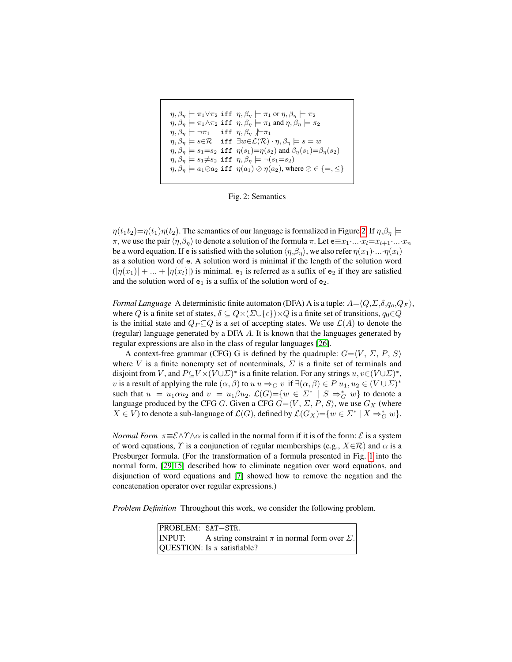<span id="page-3-0"></span>
$$
\eta, \beta_{\eta} \models \pi_1 \lor \pi_2 \text{ iff } \eta, \beta_{\eta} \models \pi_1 \text{ or } \eta, \beta_{\eta} \models \pi_2
$$
\n
$$
\eta, \beta_{\eta} \models \pi_1 \land \pi_2 \text{ iff } \eta, \beta_{\eta} \models \pi_1 \text{ and } \eta, \beta_{\eta} \models \pi_2
$$
\n
$$
\eta, \beta_{\eta} \models \neg \pi_1 \text{ iff } \eta, \beta_{\eta} \not\models \pi_1
$$
\n
$$
\eta, \beta_{\eta} \models s \in \mathcal{R} \text{ iff } \exists w \in \mathcal{L}(\mathcal{R}) \cdot \eta, \beta_{\eta} \models s = w
$$
\n
$$
\eta, \beta_{\eta} \models s_1 = s_2 \text{ iff } \eta(s_1) = \eta(s_2) \text{ and } \beta_{\eta}(s_1) = \beta_{\eta}(s_2)
$$
\n
$$
\eta, \beta_{\eta} \models s_1 \neq s_2 \text{ iff } \eta, \beta_{\eta} \models \neg(s_1 = s_2)
$$
\n
$$
\eta, \beta_{\eta} \models a_1 \oslash a_2 \text{ iff } \eta(a_1) \oslash \eta(a_2), \text{ where } \oslash \in \{ =, \leq \}
$$

Fig. 2: Semantics

 $\eta(t_1t_2)=\eta(t_1)\eta(t_2)$ . The semantics of our language is formalized in Figure [2.](#page-3-0) If  $\eta,\beta_\eta \models$ π, we use the pair  $\langle \eta, \beta_n \rangle$  to denote a solution of the formula π. Let  $e \equiv x_1 \cdots x_l = x_{l+1} \cdots x_n$ be a word equation. If e is satisfied with the solution  $\langle \eta, \beta_n \rangle$ , we also refer  $\eta(x_1) \cdot ... \cdot \eta(x_l)$ as a solution word of e. A solution word is minimal if the length of the solution word  $(|\eta(x_1)| + ... + |\eta(x_l)|)$  is minimal.  $e_1$  is referred as a suffix of  $e_2$  if they are satisfied and the solution word of  $e_1$  is a suffix of the solution word of  $e_2$ .

*Formal Language* A deterministic finite automaton (DFA) A is a tuple:  $A = \langle Q, \Sigma, \delta, q_o, Q_F \rangle$ , where Q is a finite set of states,  $\delta \subseteq Q \times (\Sigma \cup \{\epsilon\}) \times Q$  is a finite set of transitions,  $q_0 \in Q$ is the initial state and  $Q_F \subseteq Q$  is a set of accepting states. We use  $\mathcal{L}(A)$  to denote the (regular) language generated by a DFA A. It is known that the languages generated by regular expressions are also in the class of regular languages [\[26\]](#page-18-6).

A context-free grammar (CFG) G is defined by the quadruple:  $G = \langle V, \Sigma, P, S \rangle$ where V is a finite nonempty set of nonterminals,  $\Sigma$  is a finite set of terminals and disjoint from V, and  $P\subseteq V \times (V \cup \Sigma)^*$  is a finite relation. For any strings  $u, v \in (V \cup \Sigma)^*$ , v is a result of applying the rule  $(\alpha, \beta)$  to  $u \mapsto_G v$  if  $\exists (\alpha, \beta) \in P$   $u_1, u_2 \in (V \cup \Sigma)^*$ such that  $u = u_1 \alpha u_2$  and  $v = u_1 \beta u_2$ .  $\mathcal{L}(G) = \{ w \in \Sigma^* \mid S \Rightarrow^*_{G} w \}$  to denote a language produced by the CFG G. Given a CFG  $G = \langle V, \Sigma, P, S \rangle$ , we use  $G_X$  (where  $X \in V$ ) to denote a sub-language of  $\mathcal{L}(G)$ , defined by  $\mathcal{L}(G_X) = \{w \in \Sigma^* \mid X \Rightarrow_G^* w\}.$ 

*Normal Form*  $\pi \equiv \mathcal{E} \land \gamma \land \alpha$  is called in the normal form if it is of the form:  $\mathcal{E}$  is a system of word equations,  $\Upsilon$  is a conjunction of regular memberships (e.g.,  $X \in \mathcal{R}$ ) and  $\alpha$  is a Presburger formula. (For the transformation of a formula presented in Fig. [1](#page-2-0) into the normal form, [\[29](#page-18-7)[,15\]](#page-18-8) described how to eliminate negation over word equations, and disjunction of word equations and [\[7\]](#page-17-0) showed how to remove the negation and the concatenation operator over regular expressions.)

*Problem Definition* Throughout this work, we consider the following problem.

| PROBLEM: SAT-STR. |                                                                        |
|-------------------|------------------------------------------------------------------------|
|                   | <b>INPUT:</b> A string constraint $\pi$ in normal form over $\Sigma$ . |
|                   | QUESTION: Is $\pi$ satisfiable?                                        |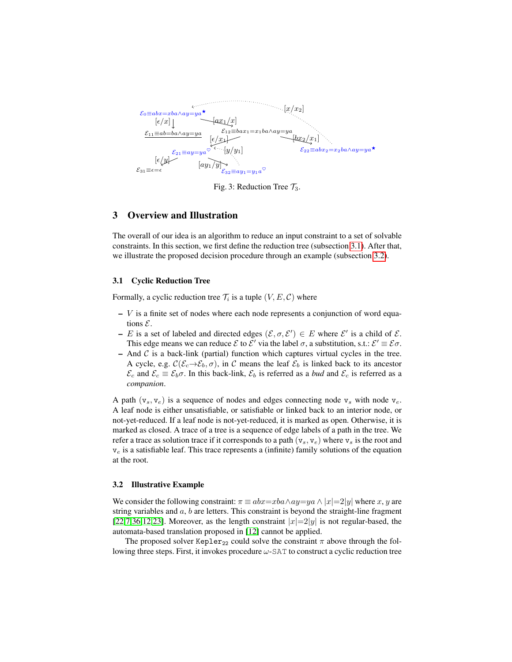<span id="page-4-3"></span>

Fig. 3: Reduction Tree  $\mathcal{T}_3$ .

# <span id="page-4-0"></span>3 Overview and Illustration

The overall of our idea is an algorithm to reduce an input constraint to a set of solvable constraints. In this section, we first define the reduction tree (subsection [3.1\)](#page-4-1). After that, we illustrate the proposed decision procedure through an example (subsection [3.2\)](#page-4-2).

### <span id="page-4-1"></span>3.1 Cyclic Reduction Tree

Formally, a cyclic reduction tree  $\mathcal{T}_i$  is a tuple  $(V, E, C)$  where

- $V$  is a finite set of nodes where each node represents a conjunction of word equations  $\mathcal{E}$ .
- E is a set of labeled and directed edges  $(\mathcal{E}, \sigma, \mathcal{E}') \in E$  where  $\mathcal{E}'$  is a child of  $\mathcal{E}$ . This edge means we can reduce  $\mathcal E$  to  $\mathcal E'$  via the label  $\sigma$ , a substitution, s.t.:  $\mathcal E' \equiv \mathcal E \sigma$ .
- $-$  And  $C$  is a back-link (partial) function which captures virtual cycles in the tree. A cycle, e.g.  $\mathcal{C}(\mathcal{E}_c\rightarrow\mathcal{E}_b,\sigma)$ , in C means the leaf  $\mathcal{E}_b$  is linked back to its ancestor  $\mathcal{E}_c$  and  $\mathcal{E}_c \equiv \mathcal{E}_b \sigma$ . In this back-link,  $\mathcal{E}_b$  is referred as a *bud* and  $\mathcal{E}_c$  is referred as a *companion*.

A path  $(v_s, v_e)$  is a sequence of nodes and edges connecting node  $v_s$  with node  $v_e$ . A leaf node is either unsatisfiable, or satisfiable or linked back to an interior node, or not-yet-reduced. If a leaf node is not-yet-reduced, it is marked as open. Otherwise, it is marked as closed. A trace of a tree is a sequence of edge labels of a path in the tree. We refer a trace as solution trace if it corresponds to a path  $(v_s, v_e)$  where  $v_s$  is the root and  $v_e$  is a satisfiable leaf. This trace represents a (infinite) family solutions of the equation at the root.

#### <span id="page-4-2"></span>3.2 Illustrative Example

We consider the following constraint:  $\pi \equiv abx = xba \wedge ay = ya \wedge |x|=2|y|$  where x, y are string variables and  $a$ ,  $b$  are letters. This constraint is beyond the straight-line fragment [\[22,](#page-18-2)[7,](#page-17-0)[36](#page-19-1)[,12](#page-18-3)[,23\]](#page-18-4). Moreover, as the length constraint  $|x|=2|y|$  is not regular-based, the automata-based translation proposed in [\[12\]](#page-18-3) cannot be applied.

The proposed solver Kepler<sub>22</sub> could solve the constraint  $\pi$  above through the following three steps. First, it invokes procedure  $\omega$ -SAT to construct a cyclic reduction tree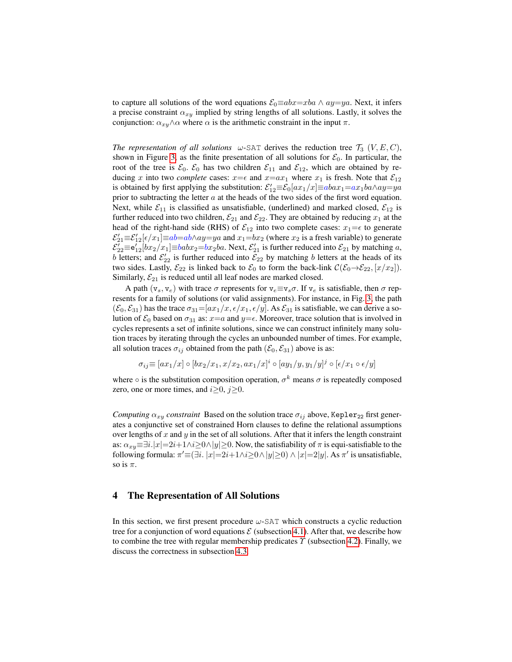to capture all solutions of the word equations  $\mathcal{E}_0 \equiv abx = xba \wedge ay = ya$ . Next, it infers a precise constraint  $\alpha_{xy}$  implied by string lengths of all solutions. Lastly, it solves the conjunction:  $\alpha_{xy} \wedge \alpha$  where  $\alpha$  is the arithmetic constraint in the input  $\pi$ .

*The representation of all solutions*  $\omega$ -SAT derives the reduction tree  $\mathcal{T}_3$  (V, E, C), shown in Figure [3,](#page-4-3) as the finite presentation of all solutions for  $\mathcal{E}_0$ . In particular, the root of the tree is  $\mathcal{E}_0$ .  $\mathcal{E}_0$  has two children  $\mathcal{E}_{11}$  and  $\mathcal{E}_{12}$ , which are obtained by reducing x into two *complete* cases:  $x = \epsilon$  and  $x = ax_1$  where  $x_1$  is fresh. Note that  $\mathcal{E}_{12}$ is obtained by first applying the substitution:  $\mathcal{E}'_{12} \equiv \mathcal{E}_0[ax_1/x] \equiv abax_1 = ax_1ba \wedge ay = ya$ prior to subtracting the letter  $a$  at the heads of the two sides of the first word equation. Next, while  $\mathcal{E}_{11}$  is classified as unsatisfiable, (underlined) and marked closed,  $\mathcal{E}_{12}$  is further reduced into two children,  $\mathcal{E}_{21}$  and  $\mathcal{E}_{22}$ . They are obtained by reducing  $x_1$  at the head of the right-hand side (RHS) of  $\mathcal{E}_{12}$  into two complete cases:  $x_1 = \epsilon$  to generate  $\mathcal{E}'_{21} \equiv \mathcal{E}'_{12}[\epsilon/x_1] \equiv ab = ab \wedge ay = ya$  and  $x_1 = bx_2$  (where  $x_2$  is a fresh variable) to generate  $\mathcal{E}'_{22} \equiv \mathbf{e}'_{12} [bx_2/x_1] \equiv babx_2 = bx_2ba$ . Next,  $\mathcal{E}'_{21}$  is further reduced into  $\mathcal{E}_{21}$  by matching a, b letters; and  $\mathcal{E}'_{22}$  is further reduced into  $\mathcal{E}_{22}$  by matching b letters at the heads of its two sides. Lastly,  $\mathcal{E}_{22}$  is linked back to  $\mathcal{E}_0$  to form the back-link  $\mathcal{C}(\mathcal{E}_0 \rightarrow \mathcal{E}_{22}, [x/x_2])$ . Similarly,  $\mathcal{E}_{21}$  is reduced until all leaf nodes are marked closed.

A path  $(v_s, v_e)$  with trace  $\sigma$  represents for  $v_e \equiv v_s \sigma$ . If  $v_e$  is satisfiable, then  $\sigma$  represents for a family of solutions (or valid assignments). For instance, in Fig. [3,](#page-4-3) the path  $(\mathcal{E}_0, \mathcal{E}_{31})$  has the trace  $\sigma_{31} = [ax_1/x, \epsilon/x_1, \epsilon/y]$ . As  $\mathcal{E}_{31}$  is satisfiable, we can derive a solution of  $\mathcal{E}_0$  based on  $\sigma_{31}$  as:  $x=a$  and  $y=e$ . Moreover, trace solution that is involved in cycles represents a set of infinite solutions, since we can construct infinitely many solution traces by iterating through the cycles an unbounded number of times. For example, all solution traces  $\sigma_{ij}$  obtained from the path  $(\mathcal{E}_0, \mathcal{E}_{31})$  above is as:

$$
\sigma_{ij} \equiv [ax_1/x] \circ [bx_2/x_1, x/x_2, ax_1/x]^i \circ [ay_1/y, y_1/y]^j \circ [\epsilon/x_1 \circ \epsilon/y]
$$

where  $\circ$  is the substitution composition operation,  $\sigma^k$  means  $\sigma$  is repeatedly composed zero, one or more times, and  $i \geq 0$ ,  $j \geq 0$ .

*Computing*  $\alpha_{xy}$  *constraint* Based on the solution trace  $\sigma_{ij}$  above, Kepler<sub>22</sub> first generates a conjunctive set of constrained Horn clauses to define the relational assumptions over lengths of  $x$  and  $y$  in the set of all solutions. After that it infers the length constraint as:  $\alpha_{xy} \equiv \exists i. |x| = 2i + 1 \land i \geq 0 \land |y| \geq 0$ . Now, the satisfiability of  $\pi$  is equi-satisfiable to the following formula:  $\pi' \equiv (\exists i. |x| = 2i + 1 \land i \ge 0 \land |y| \ge 0) \land |x| = 2|y|$ . As  $\pi'$  is unsatisfiable, so is  $\pi$ .

# <span id="page-5-0"></span>4 The Representation of All Solutions

In this section, we first present procedure  $\omega$ -SAT which constructs a cyclic reduction tree for a conjunction of word equations  $\mathcal E$  (subsection [4.1\)](#page-6-0). After that, we describe how to combine the tree with regular membership predicates  $\Upsilon$  (subsection [4.2\)](#page-7-0). Finally, we discuss the correctness in subsection [4.3.](#page-8-0)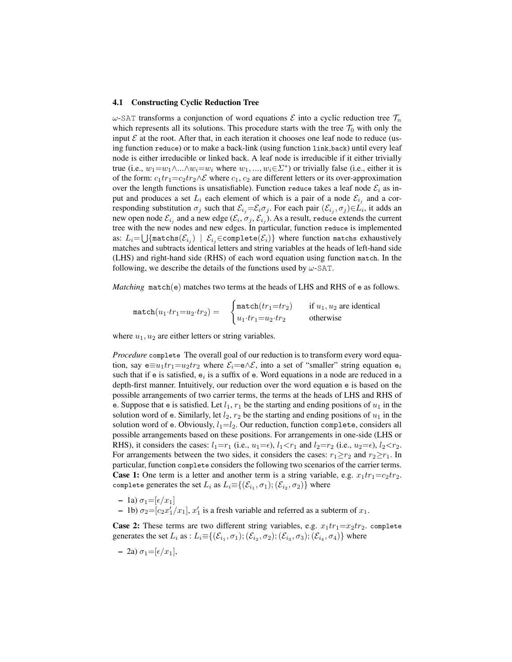#### <span id="page-6-0"></span>4.1 Constructing Cyclic Reduction Tree

ω-SAT transforms a conjunction of word equations  $\mathcal E$  into a cyclic reduction tree  $\mathcal T_n$ which represents all its solutions. This procedure starts with the tree  $\mathcal{T}_0$  with only the input  $\mathcal E$  at the root. After that, in each iteration it chooses one leaf node to reduce (using function reduce) or to make a back-link (using function link back) until every leaf node is either irreducible or linked back. A leaf node is irreducible if it either trivially true (i.e.,  $w_1 = w_1 \wedge ... \wedge w_i = w_i$  where  $w_1, ..., w_i \in \Sigma^*$ ) or trivially false (i.e., either it is of the form:  $c_1tr_1=c_2tr_2\wedge\mathcal{E}$  where  $c_1, c_2$  are different letters or its over-approximation over the length functions is unsatisfiable). Function reduce takes a leaf node  $\mathcal{E}_i$  as input and produces a set  $L_i$  each element of which is a pair of a node  $\mathcal{E}_{i_j}$  and a corresponding substitution  $\sigma_j$  such that  $\mathcal{E}_{i_j} = \mathcal{E}_i \sigma_j$ . For each pair  $(\mathcal{E}_{i_j}, \sigma_j) \in L_i$ , it adds an new open node  $\mathcal{E}_{i_j}$  and a new edge  $(\mathcal{E}_i, \sigma_j, \mathcal{E}_{i_j}).$  As a result, reduce extends the current tree with the new nodes and new edges. In particular, function reduce is implemented as:  $L_i {=} \bigcup \{\texttt{matches}({\cal E}_{i_j})\,\mid\, {\cal E}_{i_j}{\in} \texttt{complete}({\cal E}_i)\}$  where function matchs exhaustively matches and subtracts identical letters and string variables at the heads of left-hand side (LHS) and right-hand side (RHS) of each word equation using function match. In the following, we describe the details of the functions used by  $\omega$ -SAT.

*Matching* match(e) matches two terms at the heads of LHS and RHS of e as follows.

$$
\texttt{match}(u_1 \cdot tr_1 = u_2 \cdot tr_2) = \begin{cases} \texttt{match}(tr_1 = tr_2) & \text{if } u_1, u_2 \text{ are identical} \\ u_1 \cdot tr_1 = u_2 \cdot tr_2 & \text{otherwise} \end{cases}
$$

where  $u_1, u_2$  are either letters or string variables.

*Procedure* complete The overall goal of our reduction is to transform every word equation, say e $\equiv u_1 t r_1 = u_2 t r_2$  where  $\mathcal{E}_i = e \wedge \mathcal{E}$ , into a set of "smaller" string equation  $e_i$ such that if e is satisfied,  $e_i$  is a suffix of e. Word equations in a node are reduced in a depth-first manner. Intuitively, our reduction over the word equation e is based on the possible arrangements of two carrier terms, the terms at the heads of LHS and RHS of e. Suppose that e is satisfied. Let  $l_1$ ,  $r_1$  be the starting and ending positions of  $u_1$  in the solution word of e. Similarly, let  $l_2$ ,  $r_2$  be the starting and ending positions of  $u_1$  in the solution word of e. Obviously,  $l_1 = l_2$ . Our reduction, function complete, considers all possible arrangements based on these positions. For arrangements in one-side (LHS or RHS), it considers the cases:  $l_1=r_1$  (i.e.,  $u_1=\epsilon$ ),  $l_1 < r_1$  and  $l_2=r_2$  (i.e.,  $u_2=\epsilon$ ),  $l_2 < r_2$ . For arrangements between the two sides, it considers the cases:  $r_1 \ge r_2$  and  $r_2 \ge r_1$ . In particular, function complete considers the following two scenarios of the carrier terms. **Case 1:** One term is a letter and another term is a string variable, e.g.  $x_1tr_1=c_2tr_2$ . complete generates the set  $L_i$  as  $L_i{\equiv}\{(\mathcal{E}_{i_1},\sigma_1);(\mathcal{E}_{i_2},\sigma_2)\}$  where

- 1a)  $\sigma_1 = [\epsilon/x_1]$
- 1b)  $\sigma_2 = [c_2 x'_1/x_1], x'_1$  is a fresh variable and referred as a subterm of  $x_1$ .

**Case 2:** These terms are two different string variables, e.g.  $x_1tr_1=x_2tr_2$ . complete generates the set  $L_i$  as :  $L_i \equiv \{(\mathcal{E}_{i_1}, \sigma_1); (\mathcal{E}_{i_2}, \sigma_2); (\mathcal{E}_{i_3}, \sigma_3); (\mathcal{E}_{i_4}, \sigma_4)\}$  where

$$
- 2a)\sigma_1 = [\epsilon/x_1],
$$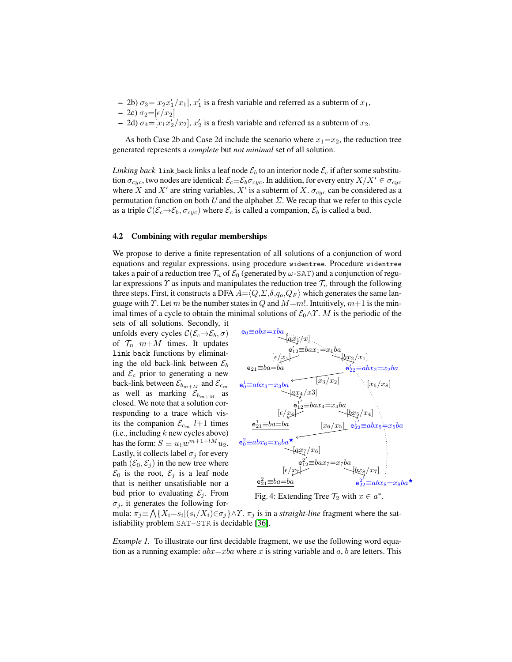- $-$  2b)  $\sigma_3 = [x_2 x_1'/x_1]$ ,  $x_1'$  is a fresh variable and referred as a subterm of  $x_1$ ,
- 2c)  $\sigma_2 = [\epsilon/x_2]$
- 2d)  $\sigma_4 = [x_1 x_2'/x_2], x_2'$  is a fresh variable and referred as a subterm of  $x_2$ .

As both Case 2b and Case 2d include the scenario where  $x_1=x_2$ , the reduction tree generated represents a *complete* but *not minimal* set of all solution.

*Linking back* link back links a leaf node  $\mathcal{E}_b$  to an interior node  $\mathcal{E}_c$  if after some substitution  $\sigma_{cyc}$ , two nodes are identical:  $\mathcal{E}_c \equiv \mathcal{E}_b \sigma_{cyc}$ . In addition, for every entry  $X/X' \in \sigma_{cyc}$ where X and X' are string variables, X' is a subterm of X.  $\sigma_{cyc}$  can be considered as a permutation function on both *U* and the alphabet  $\Sigma$ . We recap that we refer to this cycle as a triple  $\mathcal{C}(\mathcal{E}_c \rightarrow \mathcal{E}_b, \sigma_{cyc})$  where  $\mathcal{E}_c$  is called a companion,  $\mathcal{E}_b$  is called a bud.

#### <span id="page-7-0"></span>4.2 Combining with regular memberships

We propose to derive a finite representation of all solutions of a conjunction of word equations and regular expressions. using procedure widentree. Procedure widentree takes a pair of a reduction tree  $\mathcal{T}_n$  of  $\mathcal{E}_0$  (generated by  $\omega$ -SAT) and a conjunction of regular expressions  $\gamma$  as inputs and manipulates the reduction tree  $\mathcal{T}_n$  through the following three steps. First, it constructs a DFA  $A = \langle Q, \Sigma, \delta, q_o, Q_F \rangle$  which generates the same language with  $\Gamma$ . Let m be the number states in Q and  $M=m!$ . Intuitively,  $m+1$  is the minimal times of a cycle to obtain the minimal solutions of  $\mathcal{E}_0 \wedge \gamma$ . M is the periodic of the

sets of all solutions. Secondly, it unfolds every cycles  $\mathcal{C}(\mathcal{E}_c\rightarrow\mathcal{E}_b,\sigma)$ of  $\mathcal{T}_n$   $m+M$  times. It updates link back functions by eliminating the old back-link between  $\mathcal{E}_b$ and  $\mathcal{E}_c$  prior to generating a new back-link between  $\mathcal{E}_{b_{m+M}}$  and  $\mathcal{E}_{c_m}$ as well as marking  $\mathcal{E}_{b_{m+M}}$  as closed. We note that a solution corresponding to a trace which visits the companion  $\mathcal{E}_{c_m}$  l+1 times  $(i.e., including k new cycles above)$ has the form:  $S \equiv u_1 w^{m+1+lM} u_2$ . Lastly, it collects label  $\sigma_i$  for every path  $(\mathcal{E}_0, \mathcal{E}_j)$  in the new tree where  $\mathcal{E}_0$  is the root,  $\mathcal{E}_i$  is a leaf node that is neither unsatisfiable nor a bud prior to evaluating  $\mathcal{E}_i$ . From  $\sigma_i$ , it generates the following for-

<span id="page-7-1"></span>

Fig. 4: Extending Tree  $\mathcal{T}_2$  with  $x \in a^*$ 

mula:  $\pi_j \equiv \bigwedge \{X_i = s_i | (s_i/X_i) \in \sigma_j\} \wedge \Upsilon$ .  $\pi_j$  is in a *straight-line* fragment where the satisfiability problem SAT-STR is decidable [\[36\]](#page-19-1).

*Example 1*. To illustrate our first decidable fragment, we use the following word equation as a running example:  $abx = xba$  where x is string variable and a, b are letters. This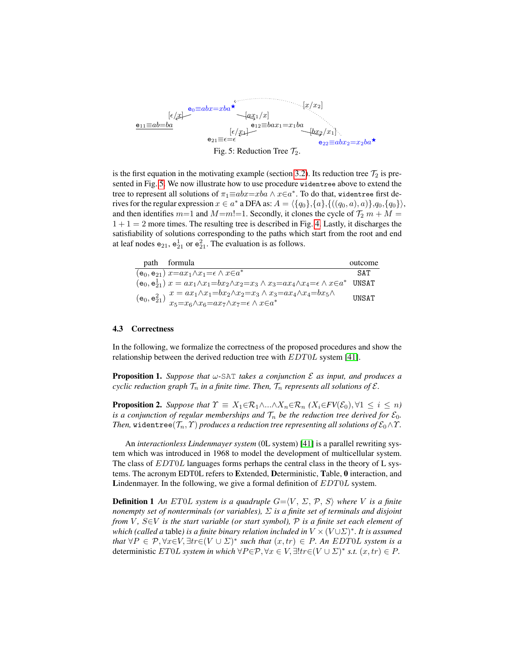<span id="page-8-1"></span>

is the first equation in the motivating example (section [3.2\)](#page-4-2). Its reduction tree  $\mathcal{T}_2$  is presented in Fig. [5.](#page-8-1) We now illustrate how to use procedure widentree above to extend the tree to represent all solutions of  $\pi_1\text{ \textequiv } abx \text{=} xba \land x \in a^*$ . To do that, widentree first derives for the regular expression  $x \in a^*$  a DFA as:  $A = \langle \{q_0\}, \{a\}, \{((q_0, a), a)\}, q_0, \{q_0\}\rangle$ , and then identifies  $m=1$  and  $M=m! = 1$ . Secondly, it clones the cycle of  $\mathcal{T}_2 m + M =$  $1 + 1 = 2$  more times. The resulting tree is described in Fig. [4.](#page-7-1) Lastly, it discharges the satisfiability of solutions corresponding to the paths which start from the root and end at leaf nodes  $e_{21}$ ,  $e_{21}^1$  or  $e_{21}^2$ . The evaluation is as follows.

| path formula                                                                                                                                                                                                                                       | outcome      |
|----------------------------------------------------------------------------------------------------------------------------------------------------------------------------------------------------------------------------------------------------|--------------|
| $(e_0, e_{21})$ $x=a x_1 \wedge x_1 = \epsilon \wedge x \in a^*$                                                                                                                                                                                   | SAT          |
| $(e_0, e_{21}^1) x = ax_1 \wedge x_1 = bx_2 \wedge x_2 = x_3 \wedge x_3 = ax_4 \wedge x_4 = \epsilon \wedge x \in a^*$ UNSAT                                                                                                                       |              |
| $x = ax_1 \wedge x_1 = bx_2 \wedge x_2 = x_3 \wedge x_3 = ax_4 \wedge x_4 = bx_5 \wedge$<br>(e <sub>0</sub> , e <sup>2</sup> <sub>21</sub> ) $\sum_{\tau_{\epsilon}=x_{\epsilon}\wedge x_{\epsilon}=ax_{7}\wedge x_{7}=\epsilon}\wedge x\in a^{*}$ | <b>UNSAT</b> |

#### <span id="page-8-0"></span>4.3 Correctness

In the following, we formalize the correctness of the proposed procedures and show the relationship between the derived reduction tree with  $EDT0L$  system [\[41\]](#page-19-5).

Proposition 1. *Suppose that* ω*-*SAT *takes a conjunction* E *as input, and produces a cyclic reduction graph*  $\mathcal{T}_n$  *in a finite time. Then,*  $\mathcal{T}_n$  *represents all solutions of*  $\mathcal{E}$ *.* 

**Proposition 2.** *Suppose that*  $\Upsilon \equiv X_1 \in \mathcal{R}_1 \wedge ... \wedge X_n \in \mathcal{R}_n$   $(X_i \in FV(\mathcal{E}_0), \forall 1 \leq i \leq n)$ *is a conjunction of regular memberships and*  $\mathcal{T}_n$  *be the reduction tree derived for*  $\mathcal{E}_0$ *. Then,* widentree( $\mathcal{T}_n$ ,  $\mathcal{T}$ ) *produces a reduction tree representing all solutions of*  $\mathcal{E}_0 \wedge \mathcal{T}$ .

An *interactionless Lindenmayer system* (0L system) [\[41\]](#page-19-5) is a parallel rewriting system which was introduced in 1968 to model the development of multicellular system. The class of  $EDT0L$  languages forms perhaps the central class in the theory of L systems. The acronym EDT0L refers to Extended, Deterministic, Table, 0 interaction, and Lindenmayer. In the following, we give a formal definition of  $EDT0L$  system.

**Definition 1** An ET0L system is a quadruple  $G = \langle V, \Sigma, \mathcal{P}, \mathcal{S} \rangle$  where V is a finite *nonempty set of nonterminals (or variables),* Σ *is a finite set of terminals and disjoint from V*, *S*∈*V is the start variable (or start symbol), P is a finite set each element of which (called a* table*) is a finite binary relation included in* V ×(V ∪Σ) ∗ *. It is assumed that*  $\forall P \in \mathcal{P}, \forall x \in V, \exists tr \in (V \cup \Sigma)^*$  *such that*  $(x, tr) \in P$ *. An EDT0L system is a* deterministic  $ET0L$  *system in which*  $\forall P \in \mathcal{P}, \forall x \in V, \exists! tr \in (V \cup \Sigma)^*$  *s.t.*  $(x, tr) \in P$ .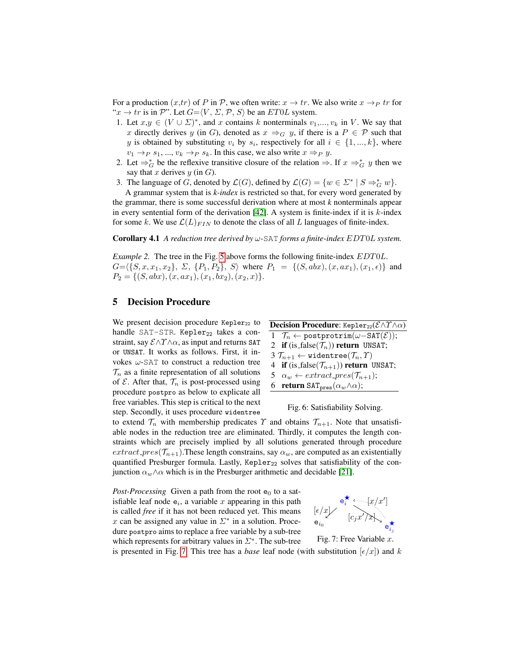For a production  $(x, tr)$  of P in P, we often write:  $x \to tr$ . We also write  $x \to Pr$  for " $x \to tr$  is in P". Let  $G=\langle V, \Sigma, \mathcal{P}, \mathcal{S} \rangle$  be an ET0L system.

- 1. Let  $x,y \in (V \cup \Sigma)^*$ , and x contains k nonterminals  $v_1,...,v_k$  in V. We say that x directly derives y (in G), denoted as  $x \Rightarrow_G y$ , if there is a  $P \in \mathcal{P}$  such that y is obtained by substituting  $v_i$  by  $s_i$ , respectively for all  $i \in \{1, ..., k\}$ , where  $v_1 \rightarrow_P s_1, ..., v_k \rightarrow_P s_k$ . In this case, we also write  $x \Rightarrow_P y$ .
- 2. Let  $\Rightarrow_G^*$  be the reflexive transitive closure of the relation  $\Rightarrow$ . If  $x \Rightarrow_G^* y$  then we say that x derives  $y$  (in  $G$ ).
- 3. The language of G, denoted by  $\mathcal{L}(G)$ , defined by  $\mathcal{L}(G) = \{w \in \Sigma^* \mid S \Rightarrow_G^* w\}.$

A grammar system that is *k-index* is restricted so that, for every word generated by the grammar, there is some successful derivation where at most *k* nonterminals appear in every sentential form of the derivation [\[42\]](#page-19-6). A system is finite-index if it is  $k$ -index for some k. We use  $\mathcal{L}(L)_{FIN}$  to denote the class of all L languages of finite-index.

<span id="page-9-3"></span>Corollary 4.1 *A reduction tree derived by* ω*-*SAT *forms a finite-index* EDT0L *system.*

*Example 2.* The tree in the Fig. [5](#page-8-1) above forms the following finite-index  $EDT0L$ .  $G=\langle\{S, x, x_1, x_2\}, \Sigma, \{P_1, P_2\}, S\rangle$  where  $P_1 = \{(S, abx), (x, ax_1), (x_1, \epsilon)\}\$  and  $P_2 = \{(S, abx), (x, ax_1), (x_1, bx_2), (x_2, x)\}.$ 

# <span id="page-9-0"></span>5 Decision Procedure

We present decision procedure  $Kepler_{22}$  to handle SAT-STR. Kepler<sub>22</sub> takes a constraint, say  $\mathcal{E} \land \Upsilon \land \alpha$ , as input and returns SAT or UNSAT. It works as follows. First, it invokes  $\omega$ -SAT to construct a reduction tree  $\mathcal{T}_n$  as a finite representation of all solutions of  $\mathcal E$ . After that,  $\mathcal T_n$  is post-processed using procedure postpro as below to explicate all free variables. This step is critical to the next step. Secondly, it uses procedure widentree

<span id="page-9-2"></span>

| <b>Decision Procedure:</b> Kepler <sub>22</sub> ( $\mathcal{E}\wedge\Upsilon\wedge\alpha$ ) |                                                                                     |  |  |  |  |  |
|---------------------------------------------------------------------------------------------|-------------------------------------------------------------------------------------|--|--|--|--|--|
|                                                                                             | 1 $\mathcal{T}_n \leftarrow \text{postportion}(\omega - \text{SAT}(\mathcal{E}))$ ; |  |  |  |  |  |
|                                                                                             | 2 if (is_false( $\mathcal{T}_n$ )) return UNSAT;                                    |  |  |  |  |  |
|                                                                                             | $3\,\mathcal{T}_{n+1} \leftarrow$ widentree $(\mathcal{T}_n, \mathcal{T})$          |  |  |  |  |  |
|                                                                                             | 4 if (is_false( $\mathcal{T}_{n+1}$ )) return UNSAT;                                |  |  |  |  |  |
|                                                                                             | 5 $\alpha_w \leftarrow extract\_pres(\mathcal{T}_{n+1});$                           |  |  |  |  |  |
|                                                                                             | 6 return $\text{SAT}_{\text{pres}}(\alpha_w \wedge \alpha);$                        |  |  |  |  |  |

Fig. 6: Satisfiability Solving.

to extend  $\mathcal{T}_n$  with membership predicates  $\Upsilon$  and obtains  $\mathcal{T}_{n+1}$ . Note that unsatisfiable nodes in the reduction tree are eliminated. Thirdly, it computes the length constraints which are precisely implied by all solutions generated through procedure  $extract\_pres(\mathcal{T}_{n+1})$ . These length constrains, say  $\alpha_w$ , are computed as an existentially quantified Presburger formula. Lastly, Kepler<sub>22</sub> solves that satisfiability of the conjunction  $\alpha_w \wedge \alpha$  which is in the Presburger arithmetic and decidable [\[21\]](#page-18-9).

*Post-Processing* Given a path from the root  $e_0$  to a satisfiable leaf node  $e_i$ , a variable x appearing in this path is called *free* if it has not been reduced yet. This means x can be assigned any value in  $\Sigma^*$  in a solution. Procedure postpro aims to replace a free variable by a sub-tree which represents for arbitrary values in  $\Sigma^*$ . The sub-tree

<span id="page-9-1"></span>



is presented in Fig. [7.](#page-9-1) This tree has a *base* leaf node (with substitution  $\epsilon/x$ ) and k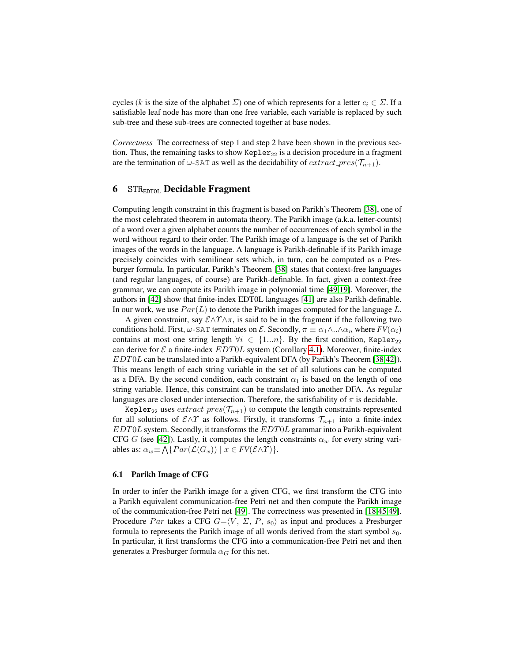cycles (k is the size of the alphabet  $\Sigma$ ) one of which represents for a letter  $c_i \in \Sigma$ . If a satisfiable leaf node has more than one free variable, each variable is replaced by such sub-tree and these sub-trees are connected together at base nodes.

*Correctness* The correctness of step 1 and step 2 have been shown in the previous section. Thus, the remaining tasks to show Kepler<sub>22</sub> is a decision procedure in a fragment are the termination of  $\omega$ -SAT as well as the decidability of  $extract\_pres(\mathcal{T}_{n+1})$ .

# <span id="page-10-0"></span>6  $STR<sub>EDTOI</sub>$  Decidable Fragment

Computing length constraint in this fragment is based on Parikh's Theorem [\[38\]](#page-19-7), one of the most celebrated theorem in automata theory. The Parikh image (a.k.a. letter-counts) of a word over a given alphabet counts the number of occurrences of each symbol in the word without regard to their order. The Parikh image of a language is the set of Parikh images of the words in the language. A language is Parikh-definable if its Parikh image precisely coincides with semilinear sets which, in turn, can be computed as a Presburger formula. In particular, Parikh's Theorem [\[38\]](#page-19-7) states that context-free languages (and regular languages, of course) are Parikh-definable. In fact, given a context-free grammar, we can compute its Parikh image in polynomial time [\[49,](#page-19-8)[19\]](#page-18-10). Moreover, the authors in [\[42\]](#page-19-6) show that finite-index EDT0L languages [\[41\]](#page-19-5) are also Parikh-definable. In our work, we use  $Par(L)$  to denote the Parikh images computed for the language L.

A given constraint, say  $\mathcal{E} \wedge \Upsilon \wedge \pi$ , is said to be in the fragment if the following two conditions hold. First,  $\omega$ -SAT terminates on  $\mathcal{E}$ . Secondly,  $\pi \equiv \alpha_1 \wedge \ldots \wedge \alpha_n$  where  $FV(\alpha_i)$ contains at most one string length  $\forall i \in \{1...n\}$ . By the first condition, Kepler<sub>22</sub> can derive for  $\mathcal E$  a finite-index  $EDT0L$  system (Corollary [4.1\)](#page-9-2). Moreover, finite-index EDT0L can be translated into a Parikh-equivalent DFA (by Parikh's Theorem [\[38,](#page-19-7)[42\]](#page-19-6)). This means length of each string variable in the set of all solutions can be computed as a DFA. By the second condition, each constraint  $\alpha_1$  is based on the length of one string variable. Hence, this constraint can be translated into another DFA. As regular languages are closed under intersection. Therefore, the satisfiability of  $\pi$  is decidable.

Kepler<sub>22</sub> uses  $extract\_pres(\mathcal{T}_{n+1})$  to compute the length constraints represented for all solutions of  $\mathcal{E}\wedge\Upsilon$  as follows. Firstly, it transforms  $\mathcal{T}_{n+1}$  into a finite-index EDT0L system. Secondly, it transforms the EDT0L grammar into a Parikh-equivalent CFG G (see [\[42\]](#page-19-6)). Lastly, it computes the length constraints  $\alpha_w$  for every string variables as:  $\alpha_w \equiv \bigwedge \{ Par(\mathcal{L}(G_x)) \mid x \in FV(\mathcal{E} \wedge \Upsilon) \}.$ 

### 6.1 Parikh Image of CFG

In order to infer the Parikh image for a given CFG, we first transform the CFG into a Parikh equivalent communication-free Petri net and then compute the Parikh image of the communication-free Petri net [\[49\]](#page-19-8). The correctness was presented in [\[18](#page-18-11)[,45](#page-19-9)[,49\]](#page-19-8). Procedure Par takes a CFG  $G=\langle V, \Sigma, P, s_0 \rangle$  as input and produces a Presburger formula to represents the Parikh image of all words derived from the start symbol  $s<sub>0</sub>$ . In particular, it first transforms the CFG into a communication-free Petri net and then generates a Presburger formula  $\alpha_G$  for this net.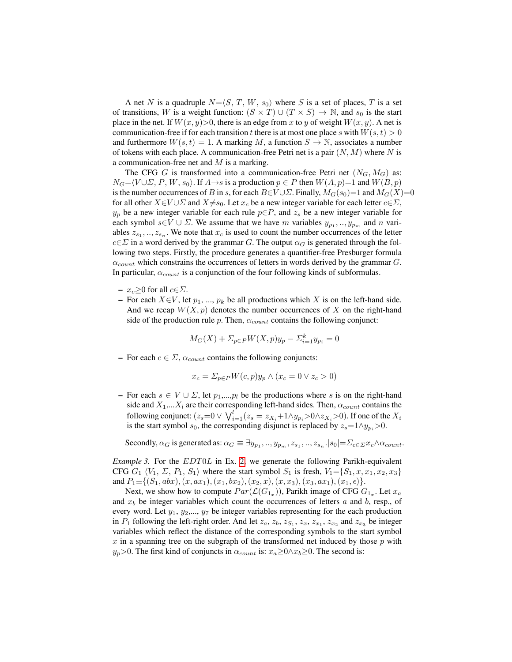A net N is a quadruple  $N=\langle S, T, W, s_0 \rangle$  where S is a set of places, T is a set of transitions, W is a weight function:  $(S \times T) \cup (T \times S) \rightarrow \mathbb{N}$ , and  $s_0$  is the start place in the net. If  $W(x, y) > 0$ , there is an edge from x to y of weight  $W(x, y)$ . A net is communication-free if for each transition t there is at most one place s with  $W(s, t) > 0$ and furthermore  $W(s,t) = 1$ . A marking M, a function  $S \to \mathbb{N}$ , associates a number of tokens with each place. A communication-free Petri net is a pair  $(N, M)$  where N is a communication-free net and  $M$  is a marking.

The CFG G is transformed into a communication-free Petri net  $(N_G, M_G)$  as:  $N_G=\langle V\cup \Sigma , P, W, s_0\rangle$ . If  $A\rightarrow s$  is a production  $p\in P$  then  $W(A, p)=1$  and  $W(B, p)$ is the number occurrences of B in s, for each  $B\in V\cup\Sigma$ . Finally,  $M_G(s_0)=1$  and  $M_G(X)=0$ for all other  $X \in V \cup \Sigma$  and  $X \neq s_0$ . Let  $x_c$  be a new integer variable for each letter  $c \in \Sigma$ ,  $y_p$  be a new integer variable for each rule  $p \in P$ , and  $z_s$  be a new integer variable for each symbol  $s \in V \cup \Sigma$ . We assume that we have m variables  $y_{p_1}, \ldots, y_{p_m}$  and n variables  $z_{s_1}, \ldots, z_{s_n}$ . We note that  $x_c$  is used to count the number occurrences of the letter  $c \in \Sigma$  in a word derived by the grammar G. The output  $\alpha_G$  is generated through the following two steps. Firstly, the procedure generates a quantifier-free Presburger formula  $\alpha_{count}$  which constrains the occurrences of letters in words derived by the grammar G. In particular,  $\alpha_{count}$  is a conjunction of the four following kinds of subformulas.

- $x_c \ge 0$  for all  $c \in \Sigma$ .
- For each  $X \in V$ , let  $p_1, ..., p_k$  be all productions which X is on the left-hand side. And we recap  $W(X, p)$  denotes the number occurrences of X on the right-hand side of the production rule p. Then,  $\alpha_{count}$  contains the following conjunct:

$$
M_G(X) + \Sigma_{p \in P} W(X, p) y_p - \Sigma_{i=1}^k y_{p_i} = 0
$$

– For each  $c \in \Sigma$ ,  $\alpha_{count}$  contains the following conjuncts:

$$
x_c = \Sigma_{p \in P} W(c, p) y_p \wedge (x_c = 0 \vee z_c > 0)
$$

– For each  $s \in V \cup \Sigma$ , let  $p_1,...,p_l$  be the productions where s is on the right-hand side and  $X_1,...X_l$  are their corresponding left-hand sides. Then,  $\alpha_{count}$  contains the following conjunct:  $(z_s=0 \vee \bigvee_{i=1}^{l} (z_s=z_{X_i}+1 \wedge y_{p_i}>0 \wedge z_{X_i}>0).$  If one of the  $X_i$ is the start symbol  $s_0$ , the corresponding disjunct is replaced by  $z_s=1\wedge y_{p_i}>0$ .

Secondly,  $\alpha_G$  is generated as:  $\alpha_G \equiv \exists y_{p_1},..,y_{p_m}, z_{s_1},..,z_{s_n}.|s_0| = \sum_{c \in \Sigma} x_c \wedge \alpha_{count}$ .

*Example 3.* For the *EDT0L* in Ex. [2,](#page-9-3) we generate the following Parikh-equivalent CFG  $G_1 \langle V_1, \Sigma, P_1, S_1 \rangle$  where the start symbol  $S_1$  is fresh,  $V_1 = \{S_1, x, x_1, x_2, x_3\}$ and  $P_1 \equiv \{(S_1, abx), (x, ax_1), (x_1, bx_2), (x_2, x), (x, x_3), (x_3, ax_1), (x_1, \epsilon)\}.$ 

Next, we show how to compute  $Par(\mathcal{L}(G_{1_x}))$ , Parikh image of CFG  $G_{1_x}$ . Let  $x_a$ and  $x_b$  be integer variables which count the occurrences of letters  $a$  and  $b$ , resp., of every word. Let  $y_1, y_2, \ldots, y_7$  be integer variables representing for the each production in  $P_1$  following the left-right order. And let  $z_a$ ,  $z_b$ ,  $z_{S_1}$ ,  $z_x$ ,  $z_{x_1}$ ,  $z_{x_2}$  and  $z_{x_3}$  be integer variables which reflect the distance of the corresponding symbols to the start symbol  $x$  in a spanning tree on the subgraph of the transformed net induced by those  $p$  with  $y_p>0$ . The first kind of conjuncts in  $\alpha_{count}$  is:  $x_a \geq 0 \land x_b \geq 0$ . The second is: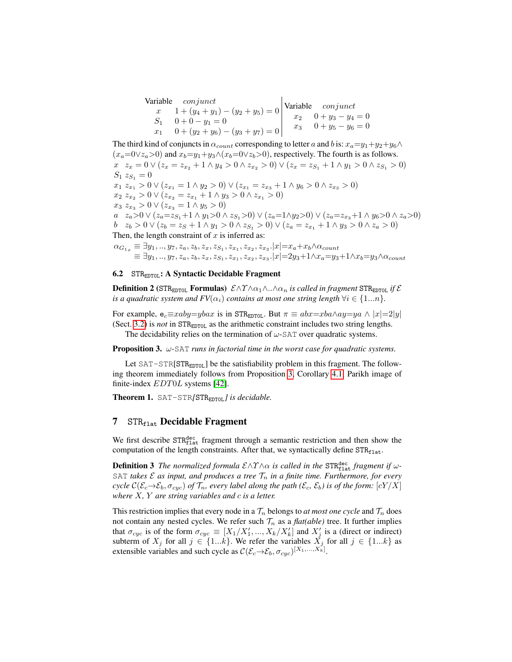Variable conjunct  $x \quad 1 + (y_4 + y_1) - (y_2 + y_5) = 0$  $S_1$  0 + 0 - y<sub>1</sub> = 0  $x_1$  0 +  $(y_2 + y_6) - (y_3 + y_7) = 0$ Variable conjunct  $x_2$  0 +  $y_3$  -  $y_4$  = 0  $x_3$  0 +  $y_5 - y_6 = 0$ 

The third kind of conjuncts in  $\alpha_{count}$  corresponding to letter a and b is:  $x_a=y_1+y_2+y_6 \wedge$  $(x_a=0\vee z_a>0)$  and  $x_b=y_1+y_3\wedge (x_b=0\vee z_b>0)$ , respectively. The fourth is as follows.  $x \quad z_x = 0 \vee (z_x = z_{x_2} + 1 \wedge y_4 > 0 \wedge z_{x_2} > 0) \vee (z_x = z_{S_1} + 1 \wedge y_1 > 0 \wedge z_{S_1} > 0)$  $S_1 z_{S_1} = 0$  $x_1 \ x_{x_1} > 0 \vee (z_{x_1} = 1 \wedge y_2 > 0) \vee (z_{x_1} = z_{x_3} + 1 \wedge y_6 > 0 \wedge z_{x_3} > 0)$  $x_2 \, z_{x_2} > 0 \vee (z_{x_2} = z_{x_1} + 1 \wedge y_3 > 0 \wedge z_{x_1} > 0)$  $x_3 z_{x_3} > 0 \vee (z_{x_3} = 1 \wedge y_5 > 0)$ a  $z_a>0 \vee (z_a=z_{S_1}+1 \wedge y_1>0 \wedge z_{S_1}>0) \vee (z_a=1 \wedge y_2>0) \vee (z_a=z_{x_3}+1 \wedge y_6>0 \wedge z_a>0)$  $b z_b > 0 ∨ (z_b = z_S + 1 ∧ y_1 > 0 ∧ z_{S_1} > 0) ∨ (z_a = z_{x_1} + 1 ∧ y_3 > 0 ∧ z_a > 0)$ Then, the length constraint of  $x$  is inferred as:

 $\alpha_{G_{1_x}} \equiv \exists y_1,..,y_7,z_a,z_b,z_x,z_{S_1},z_{x_1},z_{x_2},z_{x_3}.|x| {=} x_a {+} x_b \wedge \alpha_{count}$  $\equiv \exists y_1,..,y_7, z_a, z_b, z_x, z_{S_1}, z_{x_1}, z_{x_2}, z_{x_3}.|x| = 2y_3 + 1 \wedge x_a = y_3 + 1 \wedge x_b = y_3 \wedge \alpha_{count}$ 

# 6.2 STR<sub>EDTOL</sub>: A Syntactic Decidable Fragment

**Definition 2** (STR<sub>EDTOL</sub> **Formulas**)  $\mathcal{E} \land \gamma \land \alpha_1 \land \ldots \land \alpha_n$  *is called in fragment* STR<sub>EDTOL</sub> *if*  $\mathcal{E}$ *is a quadratic system and FV*( $\alpha_i$ ) *contains at most one string length*  $\forall i \in \{1...n\}$ *.* 

For example,  $e_c \equiv xaby=ybax$  is in STR<sub>EDTOL</sub>. But  $\pi \equiv abx=xba \land ay=ya \land |x|=2|y|$ (Sect. [3.2\)](#page-4-2) is *not* in  $STRE_{EDTOL}$  as the arithmetic constraint includes two string lengths.

The decidability relies on the termination of  $\omega$ -SAT over quadratic systems.

<span id="page-12-1"></span>Proposition 3. ω*-*SAT *runs in factorial time in the worst case for quadratic systems.*

Let SAT-STR[STR<sub>EDT0L</sub>] be the satisfiability problem in this fragment. The following theorem immediately follows from Proposition [3,](#page-12-1) Corollary [4.1,](#page-9-2) Parikh image of finite-index EDT0L systems [\[42\]](#page-19-6).

Theorem 1. SAT-STR*[*STREDT0L*] is decidable.*

### <span id="page-12-0"></span>7  $STR<sub>flat</sub>$  Decidable Fragment

We first describe STR<sup>dec</sup> fragment through a semantic restriction and then show the computation of the length constraints. After that, we syntactically define  $STR<sub>flat</sub>$ .

**Definition 3** The normalized formula  $\mathcal{E} \land \Upsilon \land \alpha$  is called in the STR<sup>dec</sup><sub>L</sub> fragment if  $\omega$ -SAT *takes*  $\mathcal E$  *as input, and produces a tree*  $\mathcal T_n$  *in a finite time. Furthermore, for every cycle*  $C(\mathcal{E}_c \to \mathcal{E}_b, \sigma_{cyc})$  *of*  $\mathcal{T}_n$ , every label along the path ( $\mathcal{E}_c$ ,  $\mathcal{E}_b$ ) is of the form:  $[cY/X]$ *where* X*,* Y *are string variables and* c *is a letter.*

This restriction implies that every node in a  $\mathcal{T}_n$  belongs to *at most one cycle* and  $\mathcal{T}_n$  does not contain any nested cycles. We refer such  $\mathcal{T}_n$  as a *flat(able)* tree. It further implies that  $\sigma_{cyc}$  is of the form  $\sigma_{cyc} \equiv [X_1/X_1',...,X_k/X_k']$  and  $X_j'$  is a (direct or indirect) subterm of  $X_j$  for all  $j \in \{1...k\}$ . We refer the variables  $\check{X}_j$  for all  $j \in \{1...k\}$  as extensible variables and such cycle as  $\mathcal{C}(\mathcal{E}_c \rightarrow \mathcal{E}_b, \sigma_{cyc})^{[X_1, ..., X_k]}$ .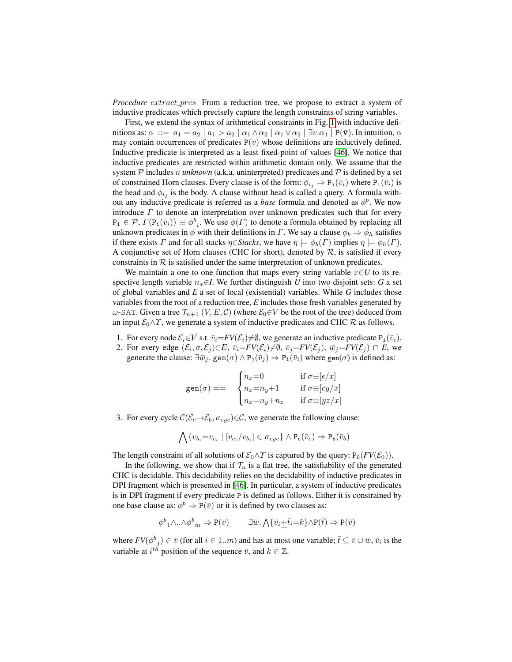*Procedure* extract *pres* From a reduction tree, we propose to extract a system of inductive predicates which precisely capture the length constraints of string variables.

First, we extend the syntax of arithmetical constraints in Fig. [1](#page-2-0) with inductive definitions as:  $\alpha$  ::=  $a_1 = a_2 | a_1 > a_2 | \alpha_1 \wedge \alpha_2 | \alpha_1 \vee \alpha_2 | \exists v.\alpha_1 | P(\bar{v})$ . In intuition,  $\alpha$ may contain occurrences of predicates  $P(\bar{v})$  whose definitions are inductively defined. Inductive predicate is interpreted as a least fixed-point of values [\[46\]](#page-19-10). We notice that inductive predicates are restricted within arithmetic domain only. We assume that the system  $P$  includes n *unknown* (a.k.a. uninterpreted) predicates and  $P$  is defined by a set of constrained Horn clauses. Every clause is of the form:  $\phi_{i_j} \Rightarrow P_i(\bar{v}_i)$  where  $P_i(\bar{v}_i)$  is the head and  $\phi_{i_j}$  is the body. A clause without head is called a query. A formula without any inductive predicate is referred as a *base* formula and denoted as  $\phi^b$ . We now introduce  $\Gamma$  to denote an interpretation over unknown predicates such that for every  $P_i \in \mathcal{P}, \Gamma(P_i(\bar{v}_i)) \equiv \phi_{i}^b$ . We use  $\phi(\Gamma)$  to denote a formula obtained by replacing all unknown predicates in  $\phi$  with their definitions in  $\Gamma$ . We say a clause  $\phi_b \Rightarrow \phi_h$  satisfies if there exists  $\Gamma$  and for all stacks  $\eta \in$ *Stacks*, we have  $\eta \models \phi_b(\Gamma)$  implies  $\eta \models \phi_h(\Gamma)$ . A conjunctive set of Horn clauses (CHC for short), denoted by  $R$ , is satisfied if every constraints in  $R$  is satisfied under the same interpretation of unknown predicates.

We maintain a one to one function that maps every string variable x∈*U* to its respective length variable  $n_x \in I$ . We further distinguish *U* into two disjoint sets: *G* a set of global variables and *E* a set of local (existential) variables. While *G* includes those variables from the root of a reduction tree, *E* includes those fresh variables generated by  $ω$ -SAT. Given a tree  $\mathcal{T}_{n+1}$  (*V*, *E*, *C*) (where  $\mathcal{E}_0 ∈ V$  be the root of the tree) deduced from an input  $\mathcal{E}_0 \wedge \Upsilon$ , we generate a system of inductive predicates and CHC  $\mathcal{R}$  as follows.

- 1. For every node  $\mathcal{E}_i \in V$  s.t.  $\overline{v}_i = FV(\mathcal{E}_i) \neq \emptyset$ , we generate an inductive predicate P<sub>i</sub>( $\overline{v}_i$ ).
- 2. For every edge  $(\mathcal{E}_i, \sigma, \mathcal{E}_j) \in E$ ,  $\bar{v}_i = FV(\mathcal{E}_i) \neq \emptyset$ ,  $\bar{v}_j = FV(\mathcal{E}_j)$ ,  $\bar{w}_j = FV(\mathcal{E}_j) \cap E$ , we generate the clause:  $\exists \bar{w}_j$ . gen $(\sigma) \wedge P_j(\bar{v}_j) \Rightarrow P_j(\bar{v}_i)$  where gen $(\sigma)$  is defined as:

$$
\text{gen}(\sigma) == \quad \begin{cases} n_x = 0 & \text{if } \sigma \equiv [\epsilon/x] \\ n_x = n_y + 1 & \text{if } \sigma \equiv [cy/x] \\ n_x = n_y + n_z & \text{if } \sigma \equiv [yz/x] \end{cases}
$$

3. For every cycle  $\mathcal{C}(\mathcal{E}_c \rightarrow \mathcal{E}_b, \sigma_{cyc}) \in \mathcal{C}$ , we generate the following clause:

$$
\bigwedge \{v_{b_i} = v_{c_i} \mid [v_{c_i}/v_{b_i}] \in \sigma_{cyc}\} \land P_c(\bar{v}_c) \Rightarrow P_b(\bar{v}_b)
$$

The length constraint of all solutions of  $\mathcal{E}_0 \wedge \Upsilon$  is captured by the query:  $P_0(FV(\mathcal{E}_0))$ .

In the following, we show that if  $\mathcal{T}_n$  is a flat tree, the satisfiability of the generated CHC is decidable. This decidability relies on the decidability of inductive predicates in DPI fragment which is presented in [\[46\]](#page-19-10). In particular, a system of inductive predicates is in DPI fragment if every predicate P is defined as follows. Either it is constrained by one base clause as:  $\phi^b \Rightarrow P(\bar{v})$  or it is defined by two clauses as:

$$
\phi^b{}_1 \wedge \ldots \wedge \phi^b{}_m \Rightarrow \mathbf{P}(\bar{v}) \qquad \exists \bar{w}. \bigwedge \{\bar{v}_i \pm \bar{t}_i = k\} \wedge \mathbf{P}(\bar{t}) \Rightarrow \mathbf{P}(\bar{v})
$$

where  $FV(\phi_{j}^{b}) \in \bar{v}$  (for all  $i \in 1..m$ ) and has at most one variable;  $\bar{t} \subseteq \bar{v} \cup \bar{w}$ ,  $\bar{v}_i$  is the variable at  $i^{th}$  position of the sequence  $\bar{v}$ , and  $k \in \mathbb{Z}$ .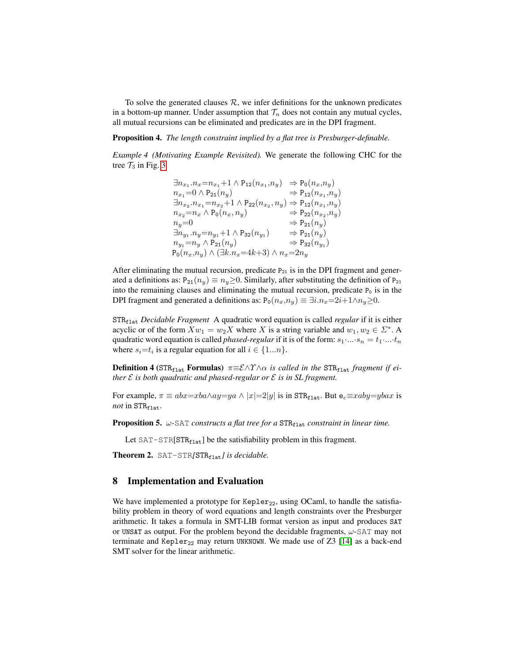To solve the generated clauses  $R$ , we infer definitions for the unknown predicates in a bottom-up manner. Under assumption that  $\mathcal{T}_n$  does not contain any mutual cycles, all mutual recursions can be eliminated and predicates are in the DPI fragment.

Proposition 4. *The length constraint implied by a flat tree is Presburger-definable.*

*Example 4 (Motivating Example Revisited).* We generate the following CHC for the tree  $\mathcal{T}_3$  in Fig. [3.](#page-4-3)

> $\exists n_{x_1}.n_x = n_{x_1} + 1 \wedge P_{12}(n_{x_1}, n_y) \Rightarrow P_0(n_x, n_y)$  $n_{x_1} = 0 \wedge P_{21}(n_y) \Rightarrow P_{12}(n_{x_1}, n_y)$  $\exists n_{x_2}.n_{x_1} = n_{x_2}+1 \wedge P_{22}(n_{x_2},n_y) \Rightarrow P_{12}(n_{x_1},n_y)$  $n_{x_2} = n_x \wedge P_0(n_x, n_y) \Rightarrow P_{22}(n_{x_2}, n_y)$  $n_y=0$   $\Rightarrow$   $P_{21}(n_y)$  $\exists n_{y_1} . n_y = n_{y_1} + 1 \wedge P_{32}(n_{y_1}) \Rightarrow P_{21}(n_y)$  $n_{y_1} = n_y \wedge P_{21}(n_y) \Rightarrow P_{32}(n_{y_1})$  $P_0(n_x,n_y) \wedge (\exists k.n_x=4k+3) \wedge n_x=2n_y$

After eliminating the mutual recursion, predicate  $P_{21}$  is in the DPI fragment and generated a definitions as:  $P_{21}(n_y) \equiv n_y \ge 0$ . Similarly, after substituting the definition of  $P_{21}$ into the remaining clauses and eliminating the mutual recursion, predicate  $P_0$  is in the DPI fragment and generated a definitions as:  $P_0(n_x,n_y) \equiv \exists i.n_x=2i+1 \land n_y\geq 0$ .

STRflat *Decidable Fragment* A quadratic word equation is called *regular* if it is either acyclic or of the form  $Xw_1 = w_2X$  where X is a string variable and  $w_1, w_2 \in \Sigma^*$ . A quadratic word equation is called *phased-regular* if it is of the form:  $s_1 \dots s_n = t_1 \dots t_n$ where  $s_i = t_i$  is a regular equation for all  $i \in \{1...n\}$ .

**Definition 4** (STR<sub>flat</sub> Formulas)  $\pi \equiv \mathcal{E} \land \gamma \land \alpha$  is called in the STR<sub>flat</sub> fragment if ei*ther* E *is both quadratic and phased-regular or* E *is in SL fragment.*

For example,  $\pi \equiv abx = xba \wedge ay = ya \wedge |x|=2|y|$  is in STR<sub>flat</sub>. But e<sub>c</sub> $\equiv xaby = ybax$  is *not* in  $STR_{\text{flat}}$ .

**Proposition 5.**  $\omega$ -SAT *constructs a flat tree for a*  $STR<sub>flat</sub>$  *constraint in linear time.* 

Let  $SAT-STR[STR<sub>flat</sub>]$  be the satisfiability problem in this fragment.

Theorem 2. SAT-STR/STR<sub>flat</sub> *J is decidable*.

### <span id="page-14-0"></span>8 Implementation and Evaluation

We have implemented a prototype for Kepler<sub>22</sub>, using OCaml, to handle the satisfiability problem in theory of word equations and length constraints over the Presburger arithmetic. It takes a formula in SMT-LIB format version as input and produces SAT or UNSAT as output. For the problem beyond the decidable fragments,  $\omega$ -SAT may not terminate and Kepler<sub>22</sub> may return UNKNOWN. We made use of Z3 [\[14\]](#page-18-12) as a back-end SMT solver for the linear arithmetic.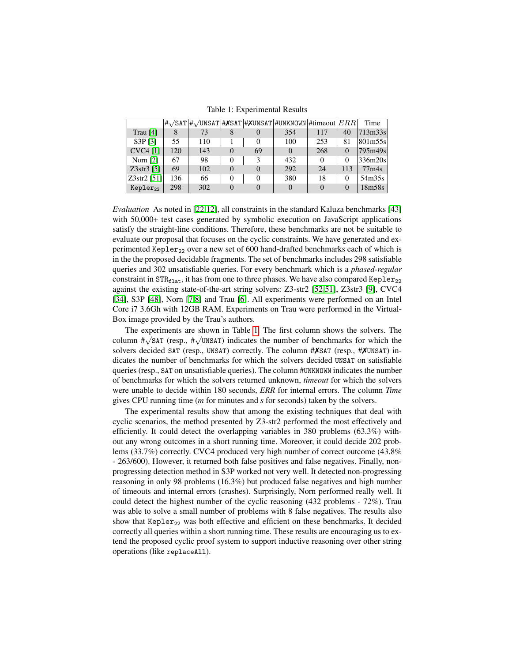Table 1: Experimental Results

<span id="page-15-0"></span>

|               |     |     |          |          | $\# \sqrt{SAT}$ $\# \sqrt{UNSAT}$ $\# \times \sqrt{SAT}$ $\# \times UNSAT$ $\#$ UNKNOWN $\#$ timeout $ ERR $ |          |          | Time                |
|---------------|-----|-----|----------|----------|--------------------------------------------------------------------------------------------------------------|----------|----------|---------------------|
| Trau $[4]$    | 8   | 73  | 8        | $\theta$ | 354                                                                                                          | 117      | 40       | 713 <sub>m33s</sub> |
| S3P[3]        | 55  | 110 |          | 0        | 100                                                                                                          | 253      | 81       | 801m55s             |
| $CVC4$ [1]    | 120 | 143 | $\Omega$ | 69       |                                                                                                              | 268      | $\Omega$ | 795m49s             |
| Norn $[2]$    | 67  | 98  | $\theta$ | 3        | 432                                                                                                          | 0        | 0        | 336m20s             |
| $Z3str3$ [5]  | 69  | 102 | $\Omega$ | $\Omega$ | 292                                                                                                          | 24       | 113      | 77 <sub>m4s</sub>   |
| Z3str2 51     | 136 | 66  | 0        | 0        | 380                                                                                                          | 18       | 0        | 54m35s              |
| $Kepler_{22}$ | 298 | 302 | $\Omega$ |          |                                                                                                              | $\Omega$ | $\theta$ | 18m58s              |

*Evaluation* As noted in [\[22,](#page-18-2)[12\]](#page-18-3), all constraints in the standard Kaluza benchmarks [\[43\]](#page-19-11) with 50,000+ test cases generated by symbolic execution on JavaScript applications satisfy the straight-line conditions. Therefore, these benchmarks are not be suitable to evaluate our proposal that focuses on the cyclic constraints. We have generated and experimented Kepler<sub>22</sub> over a new set of 600 hand-drafted benchmarks each of which is in the the proposed decidable fragments. The set of benchmarks includes 298 satisfiable queries and 302 unsatisfiable queries. For every benchmark which is a *phased-regular* constraint in  $STR<sub>flat</sub>$ , it has from one to three phases. We have also compared Kepler<sub>22</sub> against the existing state-of-the-art string solvers: Z3-str2 [\[52](#page-19-12)[,51\]](#page-19-2), Z3str3 [\[9\]](#page-17-3), CVC4 [\[34\]](#page-18-5), S3P [\[48\]](#page-19-4), Norn [\[7,](#page-17-0)[8\]](#page-17-1) and Trau [\[6\]](#page-17-2). All experiments were performed on an Intel Core i7 3.6Gh with 12GB RAM. Experiments on Trau were performed in the Virtual-Box image provided by the Trau's authors.

The experiments are shown in Table [1.](#page-15-0) The first column shows the solvers. The The experiments are shown in Table 1. The first column shows the solvers. The column  $\pi\sqrt{\text{SAT}}$  (resp.,  $\pi\sqrt{\text{UNSAT}}$ ) indicates the number of benchmarks for which the solvers decided SAT (resp., UNSAT) correctly. The column  $\#X$ SAT (resp.,  $\#X$ UNSAT) indicates the number of benchmarks for which the solvers decided UNSAT on satisfiable queries (resp., SAT on unsatisfiable queries). The column #UNKNOWN indicates the number of benchmarks for which the solvers returned unknown, *timeout* for which the solvers were unable to decide within 180 seconds, *ERR* for internal errors. The column *Time* gives CPU running time (*m* for minutes and *s* for seconds) taken by the solvers.

The experimental results show that among the existing techniques that deal with cyclic scenarios, the method presented by Z3-str2 performed the most effectively and efficiently. It could detect the overlapping variables in 380 problems (63.3%) without any wrong outcomes in a short running time. Moreover, it could decide 202 problems (33.7%) correctly. CVC4 produced very high number of correct outcome (43.8% - 263/600). However, it returned both false positives and false negatives. Finally, nonprogressing detection method in S3P worked not very well. It detected non-progressing reasoning in only 98 problems (16.3%) but produced false negatives and high number of timeouts and internal errors (crashes). Surprisingly, Norn performed really well. It could detect the highest number of the cyclic reasoning (432 problems - 72%). Trau was able to solve a small number of problems with 8 false negatives. The results also show that Kepler<sub>22</sub> was both effective and efficient on these benchmarks. It decided correctly all queries within a short running time. These results are encouraging us to extend the proposed cyclic proof system to support inductive reasoning over other string operations (like replaceAll).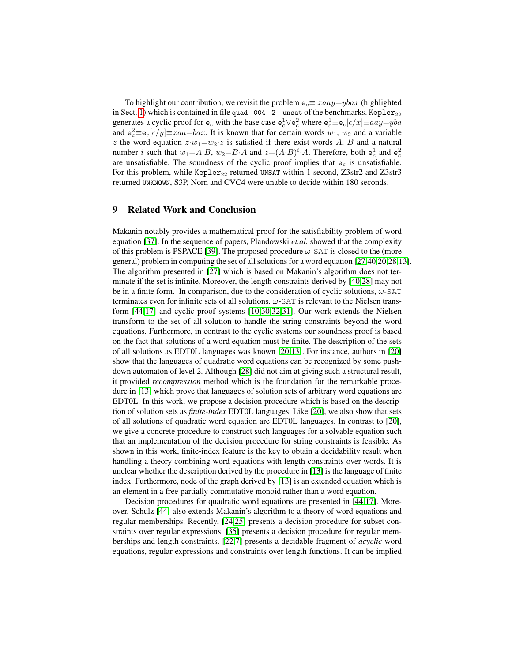To highlight our contribution, we revisit the problem  $e_c \equiv xaa y = yba x$  (highlighted in Sect. [1\)](#page-0-0) which is contained in file quad–004−2−unsat of the benchmarks. Kepler<sub>22</sub> generates a cyclic proof for  $e_c$  with the base case  $e_c^1 \vee e_c^2$  where  $e_c^1 \equiv e_c[\epsilon/x] \equiv aay = yba$ and  $e_c^2 \equiv e_c[\epsilon/y] \equiv xaa = bax$ . It is known that for certain words  $w_1$ ,  $w_2$  and a variable z the word equation  $z \cdot w_1 = w_2 \cdot z$  is satisfied if there exist words A, B and a natural number *i* such that  $w_1 = A \cdot B$ ,  $w_2 = B \cdot A$  and  $z = (A \cdot B)^i \cdot A$ . Therefore, both  $e_c^1$  and  $e_c^2$ are unsatisfiable. The soundness of the cyclic proof implies that  $e_c$  is unsatisfiable. For this problem, while Kepler<sub>22</sub> returned UNSAT within 1 second, Z3str2 and Z3str3 returned UNKNOWN, S3P, Norn and CVC4 were unable to decide within 180 seconds.

# <span id="page-16-0"></span>9 Related Work and Conclusion

Makanin notably provides a mathematical proof for the satisfiability problem of word equation [\[37\]](#page-19-0). In the sequence of papers, Plandowski *et.al.* showed that the complexity of this problem is PSPACE [\[39\]](#page-19-13). The proposed procedure  $\omega$ -SAT is closed to the (more general) problem in computing the set of all solutions for a word equation [\[27,](#page-18-13)[40,](#page-19-14)[20](#page-18-14)[,28](#page-18-15)[,13\]](#page-18-16). The algorithm presented in [\[27\]](#page-18-13) which is based on Makanin's algorithm does not terminate if the set is infinite. Moreover, the length constraints derived by [\[40](#page-19-14)[,28\]](#page-18-15) may not be in a finite form. In comparison, due to the consideration of cyclic solutions,  $\omega$ -SAT terminates even for infinite sets of all solutions. ω-SAT is relevant to the Nielsen transform [\[44,](#page-19-15)[17\]](#page-18-17) and cyclic proof systems [\[10,](#page-17-9)[30](#page-18-18)[,32](#page-18-19)[,31\]](#page-18-20). Our work extends the Nielsen transform to the set of all solution to handle the string constraints beyond the word equations. Furthermore, in contrast to the cyclic systems our soundness proof is based on the fact that solutions of a word equation must be finite. The description of the sets of all solutions as EDT0L languages was known [\[20,](#page-18-14)[13\]](#page-18-16). For instance, authors in [\[20\]](#page-18-14) show that the languages of quadratic word equations can be recognized by some pushdown automaton of level 2. Although [\[28\]](#page-18-15) did not aim at giving such a structural result, it provided *recompression* method which is the foundation for the remarkable procedure in [\[13\]](#page-18-16) which prove that languages of solution sets of arbitrary word equations are EDT0L. In this work, we propose a decision procedure which is based on the description of solution sets as *finite-index* EDT0L languages. Like [\[20\]](#page-18-14), we also show that sets of all solutions of quadratic word equation are EDT0L languages. In contrast to [\[20\]](#page-18-14), we give a concrete procedure to construct such languages for a solvable equation such that an implementation of the decision procedure for string constraints is feasible. As shown in this work, finite-index feature is the key to obtain a decidability result when handling a theory combining word equations with length constraints over words. It is unclear whether the description derived by the procedure in [\[13\]](#page-18-16) is the language of finite index. Furthermore, node of the graph derived by [\[13\]](#page-18-16) is an extended equation which is an element in a free partially commutative monoid rather than a word equation.

Decision procedures for quadratic word equations are presented in [\[44](#page-19-15)[,17\]](#page-18-17). Moreover, Schulz [\[44\]](#page-19-15) also extends Makanin's algorithm to a theory of word equations and regular memberships. Recently, [\[24](#page-18-21)[,25\]](#page-18-22) presents a decision procedure for subset constraints over regular expressions. [\[35\]](#page-19-16) presents a decision procedure for regular memberships and length constraints. [\[22,](#page-18-2)[7\]](#page-17-0) presents a decidable fragment of *acyclic* word equations, regular expressions and constraints over length functions. It can be implied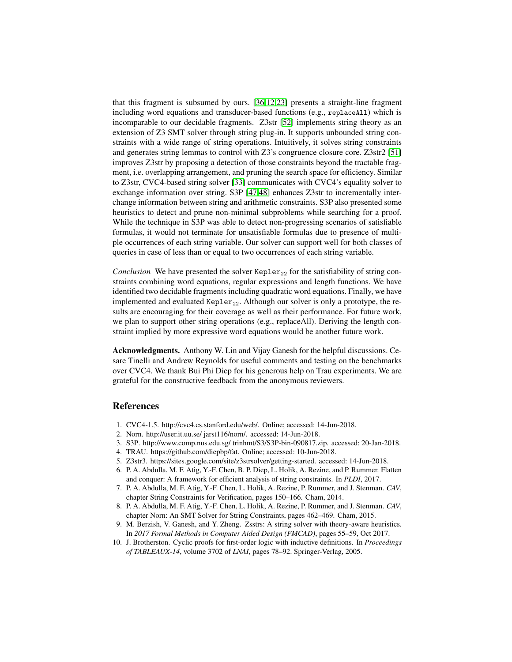that this fragment is subsumed by ours. [\[36,](#page-19-1)[12](#page-18-3)[,23\]](#page-18-4) presents a straight-line fragment including word equations and transducer-based functions (e.g., replaceAll) which is incomparable to our decidable fragments. Z3str [\[52\]](#page-19-12) implements string theory as an extension of Z3 SMT solver through string plug-in. It supports unbounded string constraints with a wide range of string operations. Intuitively, it solves string constraints and generates string lemmas to control with Z3's congruence closure core. Z3str2 [\[51\]](#page-19-2) improves Z3str by proposing a detection of those constraints beyond the tractable fragment, i.e. overlapping arrangement, and pruning the search space for efficiency. Similar to Z3str, CVC4-based string solver [\[33\]](#page-18-23) communicates with CVC4's equality solver to exchange information over string. S3P [\[47](#page-19-17)[,48\]](#page-19-4) enhances Z3str to incrementally interchange information between string and arithmetic constraints. S3P also presented some heuristics to detect and prune non-minimal subproblems while searching for a proof. While the technique in S3P was able to detect non-progressing scenarios of satisfiable formulas, it would not terminate for unsatisfiable formulas due to presence of multiple occurrences of each string variable. Our solver can support well for both classes of queries in case of less than or equal to two occurrences of each string variable.

*Conclusion* We have presented the solver Kepler<sub>22</sub> for the satisfiability of string constraints combining word equations, regular expressions and length functions. We have identified two decidable fragments including quadratic word equations. Finally, we have implemented and evaluated Kepler<sub>22</sub>. Although our solver is only a prototype, the results are encouraging for their coverage as well as their performance. For future work, we plan to support other string operations (e.g., replaceAll). Deriving the length constraint implied by more expressive word equations would be another future work.

Acknowledgments. Anthony W. Lin and Vijay Ganesh for the helpful discussions. Cesare Tinelli and Andrew Reynolds for useful comments and testing on the benchmarks over CVC4. We thank Bui Phi Diep for his generous help on Trau experiments. We are grateful for the constructive feedback from the anonymous reviewers.

# References

- <span id="page-17-6"></span>1. CVC4-1.5. http://cvc4.cs.stanford.edu/web/. Online; accessed: 14-Jun-2018.
- <span id="page-17-7"></span>2. Norn. http://user.it.uu.se/ jarst116/norn/. accessed: 14-Jun-2018.
- <span id="page-17-5"></span>3. S3P. http://www.comp.nus.edu.sg/ trinhmt/S3/S3P-bin-090817.zip. accessed: 20-Jan-2018.
- <span id="page-17-4"></span>4. TRAU. https://github.com/diepbp/fat. Online; accessed: 10-Jun-2018.
- <span id="page-17-8"></span>5. Z3str3. https://sites.google.com/site/z3strsolver/getting-started. accessed: 14-Jun-2018.
- <span id="page-17-2"></span>6. P. A. Abdulla, M. F. Atig, Y.-F. Chen, B. P. Diep, L. Holik, A. Rezine, and P. Rummer. Flatten and conquer: A framework for efficient analysis of string constraints. In *PLDI*, 2017.
- <span id="page-17-0"></span>7. P. A. Abdulla, M. F. Atig, Y.-F. Chen, L. Holik, A. Rezine, P. Rummer, and J. Stenman. *CAV*, chapter String Constraints for Verification, pages 150–166. Cham, 2014.
- <span id="page-17-1"></span>8. P. A. Abdulla, M. F. Atig, Y.-F. Chen, L. Holik, A. Rezine, P. Rummer, and J. Stenman. *CAV*, chapter Norn: An SMT Solver for String Constraints, pages 462–469. Cham, 2015.
- <span id="page-17-3"></span>9. M. Berzish, V. Ganesh, and Y. Zheng. Zsstrs: A string solver with theory-aware heuristics. In *2017 Formal Methods in Computer Aided Design (FMCAD)*, pages 55–59, Oct 2017.
- <span id="page-17-9"></span>10. J. Brotherston. Cyclic proofs for first-order logic with inductive definitions. In *Proceedings of TABLEAUX-14*, volume 3702 of *LNAI*, pages 78–92. Springer-Verlag, 2005.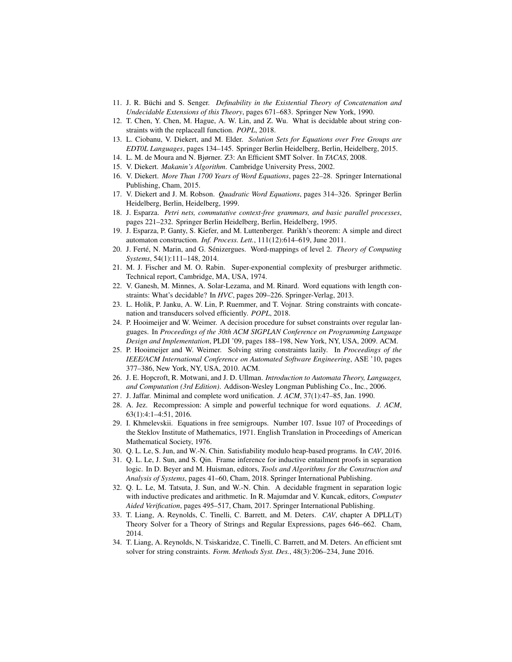- <span id="page-18-1"></span>11. J. R. Büchi and S. Senger. *Definability in the Existential Theory of Concatenation and Undecidable Extensions of this Theory*, pages 671–683. Springer New York, 1990.
- <span id="page-18-3"></span>12. T. Chen, Y. Chen, M. Hague, A. W. Lin, and Z. Wu. What is decidable about string constraints with the replaceall function. *POPL*, 2018.
- <span id="page-18-16"></span>13. L. Ciobanu, V. Diekert, and M. Elder. *Solution Sets for Equations over Free Groups are EDT0L Languages*, pages 134–145. Springer Berlin Heidelberg, Berlin, Heidelberg, 2015.
- <span id="page-18-12"></span>14. L. M. de Moura and N. Bjørner. Z3: An Efficient SMT Solver. In *TACAS*, 2008.
- <span id="page-18-8"></span>15. V. Diekert. *Makanin's Algorithm*. Cambridge University Press, 2002.
- <span id="page-18-0"></span>16. V. Diekert. *More Than 1700 Years of Word Equations*, pages 22–28. Springer International Publishing, Cham, 2015.
- <span id="page-18-17"></span>17. V. Diekert and J. M. Robson. *Quadratic Word Equations*, pages 314–326. Springer Berlin Heidelberg, Berlin, Heidelberg, 1999.
- <span id="page-18-11"></span>18. J. Esparza. *Petri nets, commutative context-free grammars, and basic parallel processes*, pages 221–232. Springer Berlin Heidelberg, Berlin, Heidelberg, 1995.
- <span id="page-18-10"></span>19. J. Esparza, P. Ganty, S. Kiefer, and M. Luttenberger. Parikh's theorem: A simple and direct automaton construction. *Inf. Process. Lett.*, 111(12):614–619, June 2011.
- <span id="page-18-14"></span>20. J. Ferté, N. Marin, and G. Sénizergues. Word-mappings of level 2. *Theory of Computing Systems*, 54(1):111–148, 2014.
- <span id="page-18-9"></span>21. M. J. Fischer and M. O. Rabin. Super-exponential complexity of presburger arithmetic. Technical report, Cambridge, MA, USA, 1974.
- <span id="page-18-2"></span>22. V. Ganesh, M. Minnes, A. Solar-Lezama, and M. Rinard. Word equations with length constraints: What's decidable? In *HVC*, pages 209–226. Springer-Verlag, 2013.
- <span id="page-18-4"></span>23. L. Holik, P. Janku, A. W. Lin, P. Ruemmer, and T. Vojnar. String constraints with concatenation and transducers solved efficiently. *POPL*, 2018.
- <span id="page-18-21"></span>24. P. Hooimeijer and W. Weimer. A decision procedure for subset constraints over regular languages. In *Proceedings of the 30th ACM SIGPLAN Conference on Programming Language Design and Implementation*, PLDI '09, pages 188–198, New York, NY, USA, 2009. ACM.
- <span id="page-18-22"></span>25. P. Hooimeijer and W. Weimer. Solving string constraints lazily. In *Proceedings of the IEEE/ACM International Conference on Automated Software Engineering*, ASE '10, pages 377–386, New York, NY, USA, 2010. ACM.
- <span id="page-18-6"></span>26. J. E. Hopcroft, R. Motwani, and J. D. Ullman. *Introduction to Automata Theory, Languages, and Computation (3rd Edition)*. Addison-Wesley Longman Publishing Co., Inc., 2006.
- <span id="page-18-13"></span>27. J. Jaffar. Minimal and complete word unification. *J. ACM*, 37(1):47–85, Jan. 1990.
- <span id="page-18-15"></span>28. A. Jez. Recompression: A simple and powerful technique for word equations. *J. ACM*, 63(1):4:1–4:51, 2016.
- <span id="page-18-7"></span>29. I. Khmelevskii. Equations in free semigroups. Number 107. Issue 107 of Proceedings of the Steklov Institute of Mathematics, 1971. English Translation in Proceedings of American Mathematical Society, 1976.
- <span id="page-18-18"></span>30. Q. L. Le, S. Jun, and W.-N. Chin. Satisfiability modulo heap-based programs. In *CAV*, 2016.
- <span id="page-18-20"></span>31. Q. L. Le, J. Sun, and S. Qin. Frame inference for inductive entailment proofs in separation logic. In D. Beyer and M. Huisman, editors, *Tools and Algorithms for the Construction and Analysis of Systems*, pages 41–60, Cham, 2018. Springer International Publishing.
- <span id="page-18-19"></span>32. Q. L. Le, M. Tatsuta, J. Sun, and W.-N. Chin. A decidable fragment in separation logic with inductive predicates and arithmetic. In R. Majumdar and V. Kuncak, editors, *Computer Aided Verification*, pages 495–517, Cham, 2017. Springer International Publishing.
- <span id="page-18-23"></span>33. T. Liang, A. Reynolds, C. Tinelli, C. Barrett, and M. Deters. *CAV*, chapter A DPLL(T) Theory Solver for a Theory of Strings and Regular Expressions, pages 646–662. Cham, 2014.
- <span id="page-18-5"></span>34. T. Liang, A. Reynolds, N. Tsiskaridze, C. Tinelli, C. Barrett, and M. Deters. An efficient smt solver for string constraints. *Form. Methods Syst. Des.*, 48(3):206–234, June 2016.